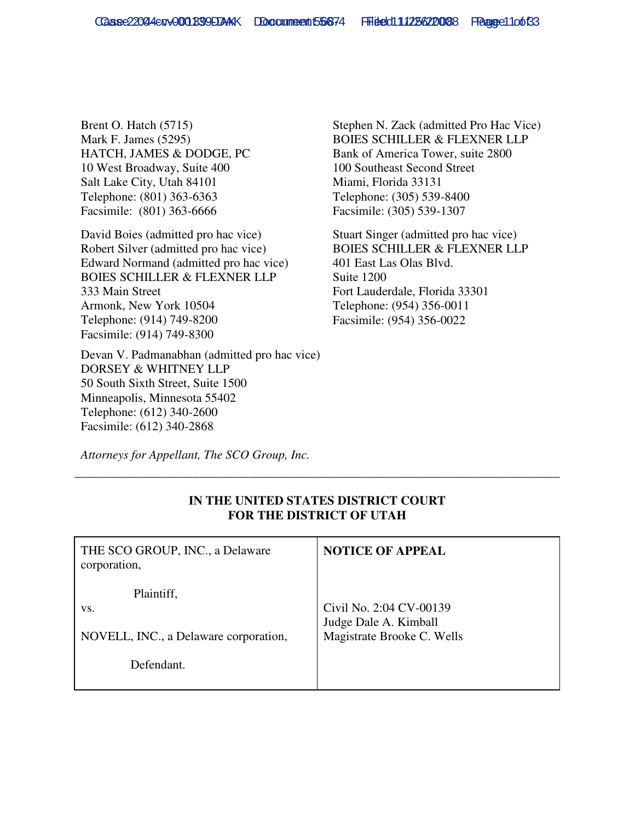Brent O. Hatch (5715) Mark F. James (5295) HATCH, JAMES & DODGE, PC 10 West Broadway, Suite 400 Salt Lake City, Utah 84101 Telephone: (801) 363-6363 Facsimile: (801) 363-6666

David Boies (admitted pro hac vice) Robert Silver (admitted pro hac vice) Edward Normand (admitted pro hac vice) BOIES SCHILLER & FLEXNER LLP 333 Main Street Armonk, New York 10504 Telephone: (914) 749-8200 Facsimile: (914) 749-8300

Devan V. Padmanabhan (admitted pro hac vice) DORSEY & WHITNEY LLP 50 South Sixth Street, Suite 1500 Minneapolis, Minnesota 55402 Telephone: (612) 340-2600 Facsimile: (612) 340-2868

Stephen N. Zack (admitted Pro Hac Vice) BOIES SCHILLER & FLEXNER LLP Bank of America Tower, suite 2800 100 Southeast Second Street Miami, Florida 33131 Telephone: (305) 539-8400 Facsimile: (305) 539-1307

Stuart Singer (admitted pro hac vice) BOIES SCHILLER & FLEXNER LLP 401 East Las Olas Blvd. Suite 1200 Fort Lauderdale, Florida 33301 Telephone: (954) 356-0011 Facsimile: (954) 356-0022

*Attorneys for Appellant, The SCO Group, Inc.*

| THE SCO GROUP, INC., a Delaware<br>corporation,                          | <b>NOTICE OF APPEAL</b>                                                        |
|--------------------------------------------------------------------------|--------------------------------------------------------------------------------|
| Plaintiff,<br>VS.<br>NOVELL, INC., a Delaware corporation,<br>Defendant. | Civil No. 2:04 CV-00139<br>Judge Dale A. Kimball<br>Magistrate Brooke C. Wells |

## **IN THE UNITED STATES DISTRICT COURT FOR THE DISTRICT OF UTAH**

\_\_\_\_\_\_\_\_\_\_\_\_\_\_\_\_\_\_\_\_\_\_\_\_\_\_\_\_\_\_\_\_\_\_\_\_\_\_\_\_\_\_\_\_\_\_\_\_\_\_\_\_\_\_\_\_\_\_\_\_\_\_\_\_\_\_\_\_\_\_\_\_\_\_\_\_\_\_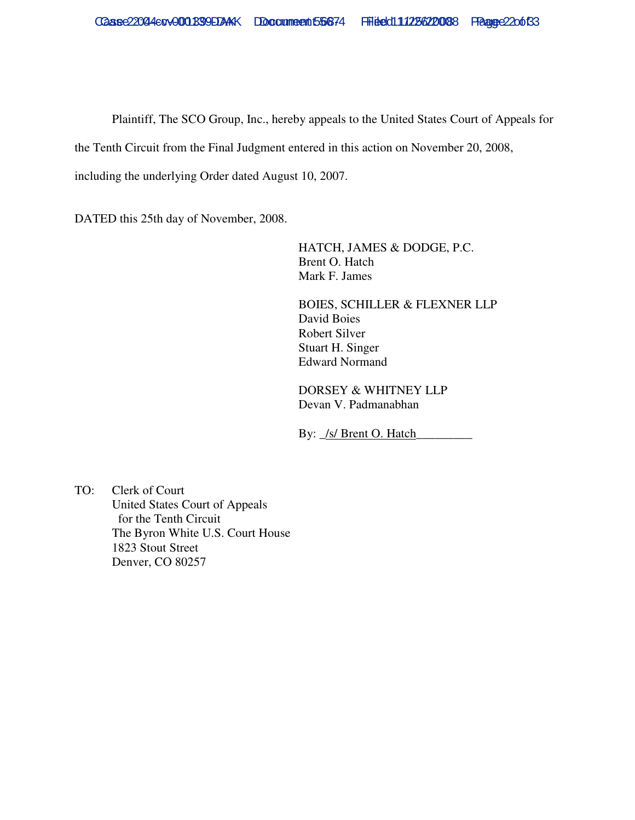Plaintiff, The SCO Group, Inc., hereby appeals to the United States Court of Appeals for

the Tenth Circuit from the Final Judgment entered in this action on November 20, 2008,

including the underlying Order dated August 10, 2007.

DATED this 25th day of November, 2008.

HATCH, JAMES & DODGE, P.C. Brent O. Hatch Mark F. James

BOIES, SCHILLER & FLEXNER LLP David Boies Robert Silver Stuart H. Singer Edward Normand

DORSEY & WHITNEY LLP Devan V. Padmanabhan

By:  $\angle$ s/ Brent O. Hatch

TO: Clerk of Court United States Court of Appeals for the Tenth Circuit The Byron White U.S. Court House 1823 Stout Street Denver, CO 80257